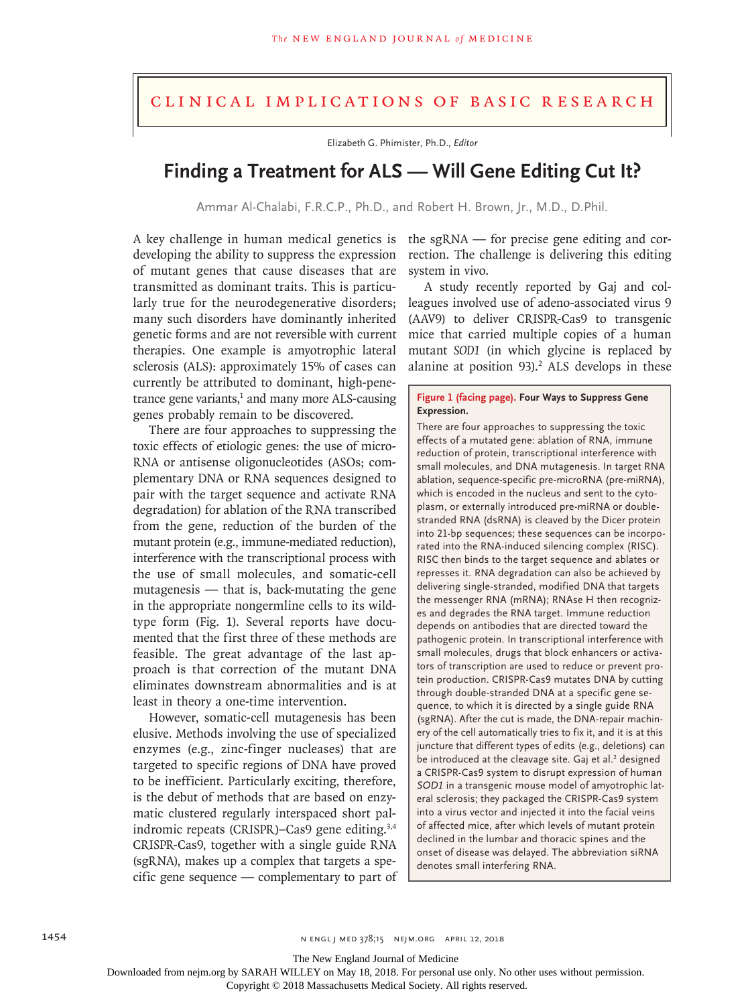## Clinical Implications of Basic Research

Elizabeth G. Phimister, Ph.D., *Editor*

## **Finding a Treatment for ALS — Will Gene Editing Cut It?**

Ammar Al‑Chalabi, F.R.C.P., Ph.D., and Robert H. Brown, Jr., M.D., D.Phil.

A key challenge in human medical genetics is the sgRNA — for precise gene editing and cordeveloping the ability to suppress the expression of mutant genes that cause diseases that are transmitted as dominant traits. This is particularly true for the neurodegenerative disorders; many such disorders have dominantly inherited genetic forms and are not reversible with current therapies. One example is amyotrophic lateral sclerosis (ALS): approximately 15% of cases can currently be attributed to dominant, high-pene- $\mu$  trance gene variants, $\mu$  and many more ALS-causing genes probably remain to be discovered.

There are four approaches to suppressing the toxic effects of etiologic genes: the use of micro-RNA or antisense oligonucleotides (ASOs; complementary DNA or RNA sequences designed to pair with the target sequence and activate RNA degradation) for ablation of the RNA transcribed from the gene, reduction of the burden of the mutant protein (e.g., immune-mediated reduction), interference with the transcriptional process with the use of small molecules, and somatic-cell mutagenesis — that is, back-mutating the gene in the appropriate nongermline cells to its wildtype form (Fig. 1). Several reports have documented that the first three of these methods are feasible. The great advantage of the last approach is that correction of the mutant DNA eliminates downstream abnormalities and is at least in theory a one-time intervention.

However, somatic-cell mutagenesis has been elusive. Methods involving the use of specialized enzymes (e.g., zinc-finger nucleases) that are targeted to specific regions of DNA have proved to be inefficient. Particularly exciting, therefore, is the debut of methods that are based on enzymatic clustered regularly interspaced short palindromic repeats (CRISPR)–Cas9 gene editing.3,4 CRISPR-Cas9, together with a single guide RNA (sgRNA), makes up a complex that targets a specific gene sequence — complementary to part of

rection. The challenge is delivering this editing system in vivo.

A study recently reported by Gaj and colleagues involved use of adeno-associated virus 9 (AAV9) to deliver CRISPR-Cas9 to transgenic mice that carried multiple copies of a human mutant *SOD1* (in which glycine is replaced by alanine at position  $93$ ).<sup>2</sup> ALS develops in these

## **Figure 1 (facing page). Four Ways to Suppress Gene Expression.**

There are four approaches to suppressing the toxic effects of a mutated gene: ablation of RNA, immune reduction of protein, transcriptional interference with small molecules, and DNA mutagenesis. In target RNA ablation, sequence-specific pre-microRNA (pre-miRNA), which is encoded in the nucleus and sent to the cytoplasm, or externally introduced pre-miRNA or doublestranded RNA (dsRNA) is cleaved by the Dicer protein into 21-bp sequences; these sequences can be incorporated into the RNA-induced silencing complex (RISC). RISC then binds to the target sequence and ablates or represses it. RNA degradation can also be achieved by delivering single-stranded, modified DNA that targets the messenger RNA (mRNA); RNAse H then recognizes and degrades the RNA target. Immune reduction depends on antibodies that are directed toward the pathogenic protein. In transcriptional interference with small molecules, drugs that block enhancers or activators of transcription are used to reduce or prevent protein production. CRISPR-Cas9 mutates DNA by cutting through double-stranded DNA at a specific gene se‑ quence, to which it is directed by a single guide RNA (sgRNA). After the cut is made, the DNA-repair machinery of the cell automatically tries to fix it, and it is at this juncture that different types of edits (e.g., deletions) can be introduced at the cleavage site. Gaj et al.<sup>2</sup> designed a CRISPR-Cas9 system to disrupt expression of human *SOD1* in a transgenic mouse model of amyotrophic lat‑ eral sclerosis; they packaged the CRISPR-Cas9 system into a virus vector and injected it into the facial veins of affected mice, after which levels of mutant protein declined in the lumbar and thoracic spines and the onset of disease was delayed. The abbreviation siRNA denotes small interfering RNA.

The New England Journal of Medicine

Downloaded from nejm.org by SARAH WILLEY on May 18, 2018. For personal use only. No other uses without permission.

Copyright © 2018 Massachusetts Medical Society. All rights reserved.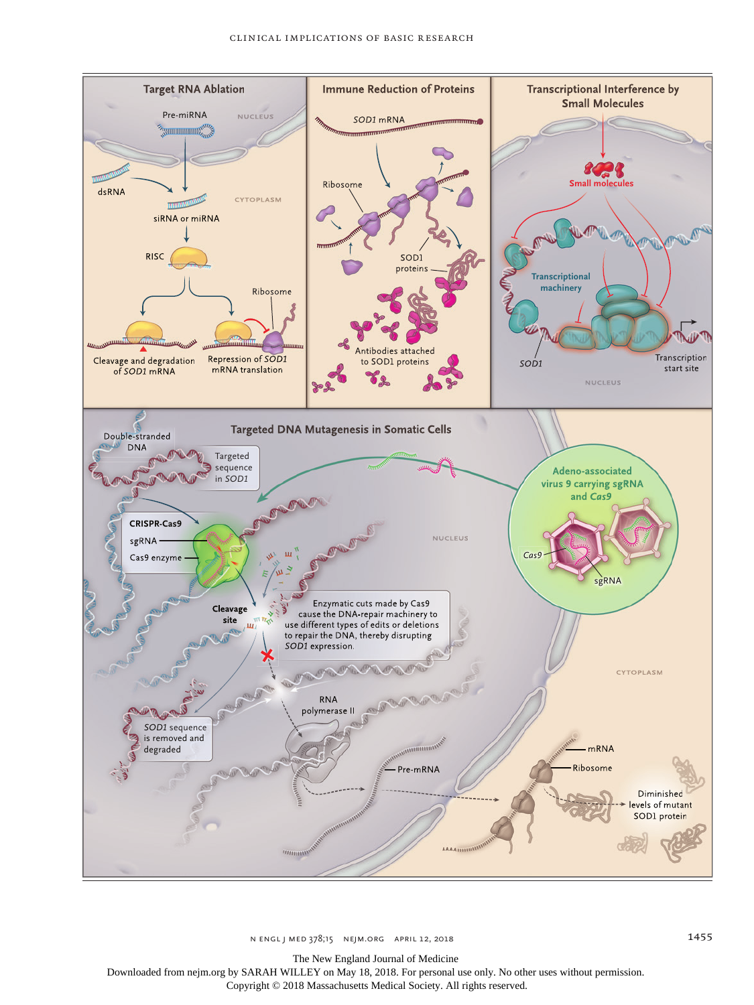

The New England Journal of Medicine

Downloaded from nejm.org by SARAH WILLEY on May 18, 2018. For personal use only. No other uses without permission.

Copyright © 2018 Massachusetts Medical Society. All rights reserved.